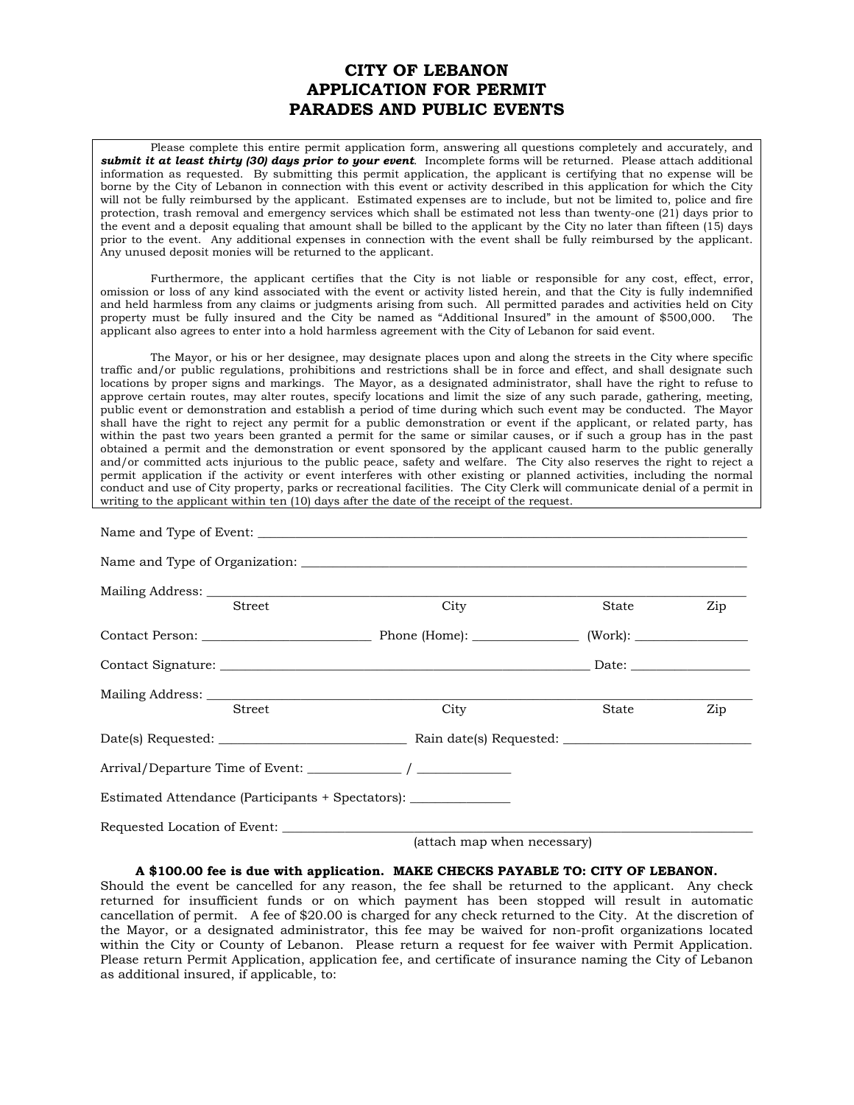## **CITY OF LEBANON APPLICATION FOR PERMIT PARADES AND PUBLIC EVENTS**

 Please complete this entire permit application form, answering all questions completely and accurately, and *submit it at least thirty (30) days prior to your event*. Incomplete forms will be returned. Please attach additional information as requested. By submitting this permit application, the applicant is certifying that no expense will be borne by the City of Lebanon in connection with this event or activity described in this application for which the City will not be fully reimbursed by the applicant. Estimated expenses are to include, but not be limited to, police and fire protection, trash removal and emergency services which shall be estimated not less than twenty-one (21) days prior to the event and a deposit equaling that amount shall be billed to the applicant by the City no later than fifteen (15) days prior to the event. Any additional expenses in connection with the event shall be fully reimbursed by the applicant. Any unused deposit monies will be returned to the applicant.

 Furthermore, the applicant certifies that the City is not liable or responsible for any cost, effect, error, omission or loss of any kind associated with the event or activity listed herein, and that the City is fully indemnified and held harmless from any claims or judgments arising from such. All permitted parades and activities held on City property must be fully insured and the City be named as "Additional Insured" in the amount of \$500,000. The applicant also agrees to enter into a hold harmless agreement with the City of Lebanon for said event.

The Mayor, or his or her designee, may designate places upon and along the streets in the City where specific traffic and/or public regulations, prohibitions and restrictions shall be in force and effect, and shall designate such locations by proper signs and markings. The Mayor, as a designated administrator, shall have the right to refuse to approve certain routes, may alter routes, specify locations and limit the size of any such parade, gathering, meeting, public event or demonstration and establish a period of time during which such event may be conducted. The Mayor shall have the right to reject any permit for a public demonstration or event if the applicant, or related party, has within the past two years been granted a permit for the same or similar causes, or if such a group has in the past obtained a permit and the demonstration or event sponsored by the applicant caused harm to the public generally and/or committed acts injurious to the public peace, safety and welfare. The City also reserves the right to reject a permit application if the activity or event interferes with other existing or planned activities, including the normal conduct and use of City property, parks or recreational facilities. The City Clerk will communicate denial of a permit in writing to the applicant within ten (10) days after the date of the receipt of the request.

| <b>Street</b>                                                    | City    | State | Zip |
|------------------------------------------------------------------|---------|-------|-----|
|                                                                  |         |       |     |
|                                                                  |         |       |     |
|                                                                  |         |       |     |
| <b>Street</b>                                                    | City    | State | Zip |
|                                                                  |         |       |     |
|                                                                  |         |       |     |
| Estimated Attendance (Participants + Spectators): ______________ |         |       |     |
|                                                                  |         |       |     |
|                                                                  | [other] |       |     |

(attach map when necessary)

## **A \$100.00 fee is due with application. MAKE CHECKS PAYABLE TO: CITY OF LEBANON.**

Should the event be cancelled for any reason, the fee shall be returned to the applicant. Any check returned for insufficient funds or on which payment has been stopped will result in automatic cancellation of permit. A fee of \$20.00 is charged for any check returned to the City. At the discretion of the Mayor, or a designated administrator, this fee may be waived for non-profit organizations located within the City or County of Lebanon. Please return a request for fee waiver with Permit Application. Please return Permit Application, application fee, and certificate of insurance naming the City of Lebanon as additional insured, if applicable, to: